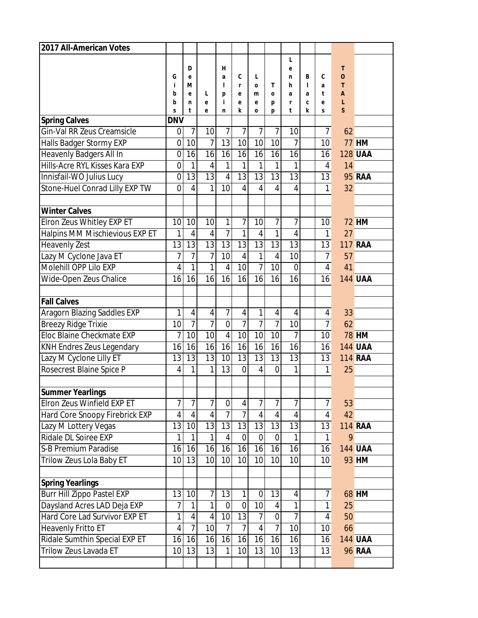| 2017 All-American Votes        |                 |                |                |                  |                   |                 |                 |                 |                   |                |                     |                |
|--------------------------------|-----------------|----------------|----------------|------------------|-------------------|-----------------|-----------------|-----------------|-------------------|----------------|---------------------|----------------|
|                                |                 |                |                |                  |                   |                 |                 | L               |                   |                |                     |                |
|                                |                 | D              |                | н                |                   |                 |                 | e               |                   |                | T                   |                |
|                                | G<br>i          | e<br>м         |                | a<br>1           | C<br>$\mathsf{r}$ | L<br>$\Omega$   | T               | n<br>h          | B<br>$\mathbf{I}$ | C<br>a         | $\overline{O}$<br>T |                |
|                                | b               | e              | L              | р                | e                 | m               | O               | a               | a                 | t              | $\overline{A}$      |                |
|                                | b               | n              | e              | j.               | е                 | e               | р               | r               | C                 | е              | L                   |                |
| <b>Spring Calves</b>           | S<br><b>DNV</b> | t              | e              | n                | k                 | $\mathbf 0$     | p               | t               | k                 | S              | <sub>S</sub>        |                |
| Gin-Val RR Zeus Creamsicle     |                 | 7              | 10             | 7                | 7                 | 7               | 7               | 10              |                   | 7              | 62                  |                |
|                                | 0               | 10             | $\overline{7}$ | 13               | 10                | 10              | 10              | $\overline{7}$  |                   | 10             |                     | <b>77 HM</b>   |
| Halls Badger Stormy EXP        | $\overline{0}$  |                |                |                  |                   |                 |                 |                 |                   |                |                     |                |
| Heavenly Badgers All In        | $\overline{0}$  | 16             | 16             | 16               | 16                | 16              | 16              | 16              |                   | 16             |                     | <b>128 UAA</b> |
| Hills-Acre RYL Kisses Kara EXP | $\overline{0}$  | 1              | 4              | $\mathbf{1}$     | 1                 | $\mathbf{1}$    | 1               | 1               |                   | 4              | 14                  |                |
| Innisfail-WO Julius Lucy       | $\mathbf 0$     | 13             | 13             | $\overline{4}$   | $\overline{13}$   | 13              | $\overline{13}$ | $\overline{13}$ |                   | 13             |                     | <b>95 RAA</b>  |
| Stone-Huel Conrad Lilly EXP TW | 0               | 4              | 1              | 10               | 4                 | $\overline{4}$  | $\overline{4}$  | $\overline{4}$  |                   | 1              | 32                  |                |
| <b>Winter Calves</b>           |                 |                |                |                  |                   |                 |                 |                 |                   |                |                     |                |
| Elron Zeus Whitley EXP ET      | 10              | 10             | 10             | 1                | 7                 | 10              | 7               | $\overline{7}$  |                   | 10             |                     | <b>72 HM</b>   |
| Halpins MM Mischievious EXP ET | 1               | 4              | 4              | $\overline{1}$   | 1                 | $\overline{4}$  | 1               | $\overline{4}$  |                   | 1              | 27                  |                |
| <b>Heavenly Zest</b>           | 13              | 13             | 13             | 13               | 13                | 13              | 13              | 13              |                   | 13             |                     | <b>117 RAA</b> |
| Lazy M Cyclone Java ET         | 7               | 7              | $\overline{1}$ | 10               | 4                 | $\mathbf{1}$    | $\overline{4}$  | 10              |                   | $\overline{7}$ | 57                  |                |
| Molehill OPP Lilo EXP          | 4               | 1              | 1              | $\overline{4}$   | 10                | $\overline{7}$  | 10              | $\mathbf 0$     |                   | 4              | 41                  |                |
| Wide-Open Zeus Chalice         | 16              | 16             | 16             | 16               | 16                | 16              | 16              | 16              |                   | 16             |                     | <b>144 UAA</b> |
|                                |                 |                |                |                  |                   |                 |                 |                 |                   |                |                     |                |
| <b>Fall Calves</b>             |                 |                |                |                  |                   |                 |                 |                 |                   |                |                     |                |
| Aragorn Blazing Saddles EXP    | 1               | $\overline{4}$ | 4              | $\overline{7}$   | $\overline{4}$    | $\mathbf{1}$    | $\overline{4}$  | $\overline{4}$  |                   | 4              | 33                  |                |
| <b>Breezy Ridge Trixie</b>     | 10              | $\overline{7}$ | 7              | $\mathbf 0$      | $\overline{7}$    | $\overline{7}$  | $\overline{7}$  | 10              |                   | $\overline{7}$ | 62                  |                |
| Eloc Blaine Checkmate EXP      | $\overline{1}$  | 10             | 10             | $\overline{4}$   | 10                | 10              | 10              | $\overline{7}$  |                   | 10             |                     | <b>78 HM</b>   |
| KNH Endres Zeus Legendary      | 16              | 16             | 16             | 16               | 16                | 16              | 16              | 16              |                   | 16             |                     | <b>144 UAA</b> |
| Lazy M Cyclone Lilly ET        | 13              | 13             | 13             | 10               | 13                | 13              | 13              | 13              |                   | 13             |                     | <b>114 RAA</b> |
| Rosecrest Blaine Spice P       | 4               | 1              | 1              | 13               | $\overline{0}$    | $\overline{4}$  | $\overline{0}$  | 1               |                   | 1              | 25                  |                |
|                                |                 |                |                |                  |                   |                 |                 |                 |                   |                |                     |                |
| Summer Yearlings               |                 |                |                |                  |                   |                 |                 |                 |                   |                |                     |                |
| Elron Zeus Winfield EXP ET     | 7               | 7              | 7              | $\boldsymbol{0}$ | 4                 | $\overline{7}$  | 7               | $\overline{7}$  |                   | 7              | 53                  |                |
| Hard Core Snoopy Firebrick EXP | 4               | $\overline{4}$ | $\overline{4}$ | $\overline{7}$   | $\overline{7}$    | $\overline{4}$  | $\overline{4}$  | $\overline{4}$  |                   | $\overline{4}$ | 42                  |                |
| Lazy M Lottery Vegas           | 13              | 10             | 13             | 13               | 13                | 13              | 13              | 13              |                   | 13             |                     | <b>114 RAA</b> |
| Ridale DL Soiree EXP           | 1               | 1              | 1              | $\overline{4}$   | $\overline{0}$    | $\mathbf 0$     | $\overline{0}$  | $\mathbf{1}$    |                   | $\mathbf{1}$   | 9                   |                |
| S-B Premium Paradise           | 16              | 16             | 16             | 16               | 16                | 16              | 16              | 16              |                   | 16             |                     | <b>144 UAA</b> |
| Trilow Zeus Lola Baby ET       | 10              | 13             | 10             | 10               | 10 <sup>1</sup>   | 10 <sup>1</sup> | 10              | 10              |                   | 10             |                     | 93 HM          |
|                                |                 |                |                |                  |                   |                 |                 |                 |                   |                |                     |                |
| <b>Spring Yearlings</b>        |                 |                |                |                  |                   |                 |                 |                 |                   |                |                     |                |
| Burr Hill Zippo Pastel EXP     | 13              | 10             | $\overline{1}$ | 13               | 1                 | $\overline{0}$  | 13              | $\overline{4}$  |                   | 7              |                     | <b>68 HM</b>   |
| Daysland Acres LAD Deja EXP    | 7               | 1              | 1              | $\mathbf 0$      | $\mathbf 0$       | 10              | 4               | $\mathbf{1}$    |                   | $\mathbf{1}$   | 25                  |                |
| Hard Core Lad Survivor EXP ET  | 1               | $\overline{4}$ | $\overline{4}$ | 10 <sup>1</sup>  | $\overline{13}$   | $\overline{7}$  | $\mathbf 0$     | $\overline{7}$  |                   | $\overline{4}$ | 50                  |                |
| Heavenly Fritto ET             | 4               | $\overline{7}$ | 10             | 7                | $\overline{7}$    | 4               | $\overline{7}$  | 10              |                   | 10             | 66                  |                |
| Ridale Sumthin Special EXP ET  | 16              | 16             | 16             | 16               | 16                | 16              | 16              | 16              |                   | 16             |                     | <b>144 UAA</b> |
| Trilow Zeus Lavada ET          | 10              | 13             | 13             | 1                | 10                | 13              | 10              | 13              |                   | 13             |                     | <b>96 RAA</b>  |
|                                |                 |                |                |                  |                   |                 |                 |                 |                   |                |                     |                |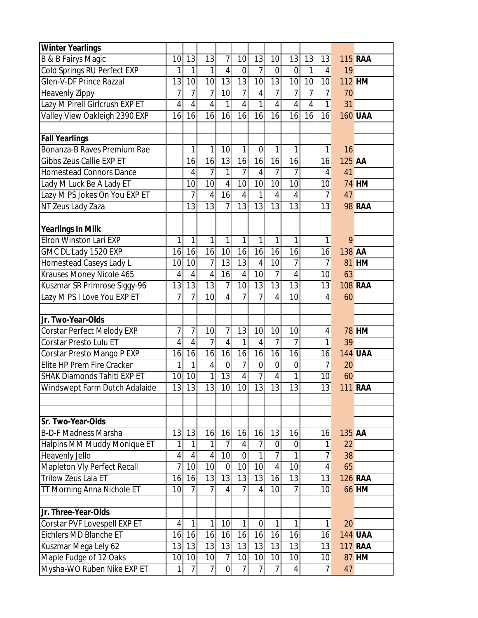| <b>Winter Yearlings</b>            |                |                 |                |                |                 |                |                 |                 |                |                |        |                |
|------------------------------------|----------------|-----------------|----------------|----------------|-----------------|----------------|-----------------|-----------------|----------------|----------------|--------|----------------|
| B & B Fairys Magic                 | 10             | 13              | 13             | 7              | 10              | 13             | 10              | 13              | 13             | 13             |        | <b>115 RAA</b> |
| Cold Springs RU Perfect EXP        | 1              | 1               | $\mathbf{1}$   | 4              | $\overline{0}$  | $\overline{7}$ | $\overline{0}$  | $\overline{0}$  | 1              | $\overline{4}$ | 19     |                |
| Glen-V-DF Prince Razzal            | 13             | 10              | 10             | 13             | 13              | 10             | 13              | 10              | 10             | 10             |        | <b>112 HM</b>  |
| <b>Heavenly Zippy</b>              | 7              | 7               | $\overline{7}$ | 10             | 7               | $\overline{4}$ | 7               | 7               | 7              | $\overline{7}$ | 70     |                |
| Lazy M Pirell Girlcrush EXP ET     | 4              | $\overline{4}$  | $\overline{4}$ | $\mathbf{1}$   | $\overline{4}$  | $\mathbf{1}$   | $\overline{4}$  | $\overline{4}$  | $\overline{4}$ | $\mathbf{1}$   | 31     |                |
| Valley View Oakleigh 2390 EXP      | 16             | 16              | 16             | 16             | 16              | 16             | 16              | 16              | 16             | 16             |        | <b>160 UAA</b> |
|                                    |                |                 |                |                |                 |                |                 |                 |                |                |        |                |
| <b>Fall Yearlings</b>              |                |                 |                |                |                 |                |                 |                 |                |                |        |                |
| Bonanza-B Raves Premium Rae        |                | 1               | 1              | 10             | 1               | $\mathbf 0$    | 1               | 1               |                | $\mathbf{1}$   | 16     |                |
| Gibbs Zeus Callie EXP ET           |                | 16              | 16             | 13             | 16              | 16             | 16              | 16              |                | 16             | 125 AA |                |
| <b>Homestead Connors Dance</b>     |                | $\overline{4}$  | 7              | 1              | 7               | $\overline{4}$ | 7               | 7               |                | $\overline{4}$ | 41     |                |
| Lady M Luck Be A Lady ET           |                | 10              | 10             | 4              | 10              | 10             | 10              | 10              |                | 10             |        | <b>74 HM</b>   |
| Lazy M PS Jokes On You EXP ET      |                | $\overline{1}$  | $\overline{4}$ | 16             | $\overline{4}$  | $\mathbf{1}$   | $\overline{4}$  | $\overline{4}$  |                | $\overline{7}$ | 47     |                |
| NT Zeus Lady Zaza                  |                | 13              | 13             | 7              | 13              | 13             | 13              | 13              |                | 13             |        | <b>98 RAA</b>  |
|                                    |                |                 |                |                |                 |                |                 |                 |                |                |        |                |
| <b>Yearlings In Milk</b>           |                |                 |                |                |                 |                |                 |                 |                |                |        |                |
| Elron Winston Lari EXP             | 1              | 1               | 1              | 1              | 1               | $\mathbf{1}$   | 1               | 1               |                | $\mathbf{1}$   | 9      |                |
| GMC DL Lady 1520 EXP               | 16             | 16              | 16             | 10             | 16              | 16             | 16              | 16              |                | 16             | 138 AA |                |
| Homestead Caseys Lady L            | 10             | 10              | 7              | 13             | 13              | $\overline{4}$ | 10              | $\overline{7}$  |                | $\overline{7}$ |        | 81 HM          |
| Krauses Money Nicole 465           | 4              | $\overline{4}$  | $\overline{4}$ | 16             | $\overline{4}$  | 10             | 7               | $\overline{4}$  |                | 10             | 63     |                |
| Kuszmar SR Primrose Siggy-96       | 13             | $\overline{13}$ | 13             | $\overline{7}$ | $\overline{10}$ | 13             | 13              | $\overline{13}$ |                | 13             |        | <b>108 RAA</b> |
| Lazy M PS I Love You EXP ET        | 7              | $\overline{1}$  | 10             | 4              | 7               | $\overline{7}$ | 4               | 10              |                | 4              | 60     |                |
|                                    |                |                 |                |                |                 |                |                 |                 |                |                |        |                |
| Jr. Two-Year-Olds                  |                |                 |                |                |                 |                |                 |                 |                |                |        |                |
| Corstar Perfect Melody EXP         | 7              | $\overline{1}$  | 10             | 7              | 13              | 10             | 10              | 10              |                | 4              |        | <b>78 HM</b>   |
| Corstar Presto Lulu ET             | 4              | $\overline{4}$  | 7              | 4              | 1               | 4              | 7               | $\overline{7}$  |                | 1              | 39     |                |
| Corstar Presto Mango P EXP         | 16             | 16              | 16             | 16             | 16              | 16             | 16              | 16              |                | 16             |        | <b>144 UAA</b> |
| Elite HP Prem Fire Cracker         | 1              | 1               | $\overline{4}$ | $\overline{0}$ | 7               | $\overline{0}$ | $\mathbf 0$     | $\overline{0}$  |                | 7              | 20     |                |
| <b>SHAK Diamonds Tahiti EXP ET</b> | 10             | 10              | $\mathbf{1}$   | 13             | $\overline{4}$  | $\overline{7}$ | $\overline{4}$  | 1               |                | 10             | 60     |                |
| Windswept Farm Dutch Adalaide      | 13             | 13              | 13             | 10             | 10              | 13             | $\overline{13}$ | 13              |                | 13             |        | <b>111 RAA</b> |
|                                    |                |                 |                |                |                 |                |                 |                 |                |                |        |                |
|                                    |                |                 |                |                |                 |                |                 |                 |                |                |        |                |
| Sr. Two-Year-Olds                  |                |                 |                |                |                 |                |                 |                 |                |                |        |                |
| <b>B-D-F Madness Marsha</b>        | 13             | 13              | 16             | 16             | 16              | 16             | 13              | 16              |                | 16             | 135 AA |                |
| Halpins MM Muddy Monique ET        | 1              | 1               | 1              | 7              | $\overline{4}$  | $\overline{7}$ | 0               | $\mathbf 0$     |                | $\mathbf{1}$   | 22     |                |
| Heavenly Jello                     | 4              | $\overline{4}$  | $\overline{4}$ | 10             | $\overline{0}$  | $\mathbf{1}$   | $\overline{7}$  | 1               |                | 7              | 38     |                |
| Mapleton Vly Perfect Recall        | $\overline{7}$ | 10              | 10             | $\mathbf 0$    | 10              | 10             | $\overline{4}$  | 10              |                | $\overline{4}$ | 65     |                |
| Trilow Zeus Lala ET                | 16             | 16              | 13             | 13             | 13              | 13             | 16              | 13              |                | 13             |        | <b>126 RAA</b> |
| <b>TT Morning Anna Nichole ET</b>  | 10             | $\overline{7}$  | $\overline{1}$ | $\overline{4}$ | $\overline{7}$  | $\overline{4}$ | 10              | $\overline{7}$  |                | 10             |        | <b>66 HM</b>   |
|                                    |                |                 |                |                |                 |                |                 |                 |                |                |        |                |
| Jr. Three-Year-Olds                |                |                 |                |                |                 |                |                 |                 |                |                |        |                |
| Corstar PVF Lovespell EXP ET       | 4              | 1               | 1              | 10             | 1               | 0              | 1               | 1               |                | $\mathbf{1}$   | 20     |                |
| Eichlers MD Blanche ET             | 16             | 16              | 16             | 16             | 16              | 16             | 16              | 16              |                | 16             |        | <b>144 UAA</b> |
| Kuszmar Mega Lely 62               | 13             | 13              | 13             | 13             | 13              | 13             | 13              | 13              |                | 13             |        | <b>117 RAA</b> |
| Maple Fudge of 12 Oaks             | 10             | 10              | 10             | $\overline{7}$ | 10              | 10             | 10              | 10              |                | 10             |        | 87 HM          |
| Mysha-WO Ruben Nike EXP ET         | 1              | $\overline{1}$  | $\overline{7}$ | $\mathbf 0$    | $\overline{7}$  | $\overline{7}$ | $\overline{7}$  | $\overline{4}$  |                | $\overline{7}$ | 47     |                |